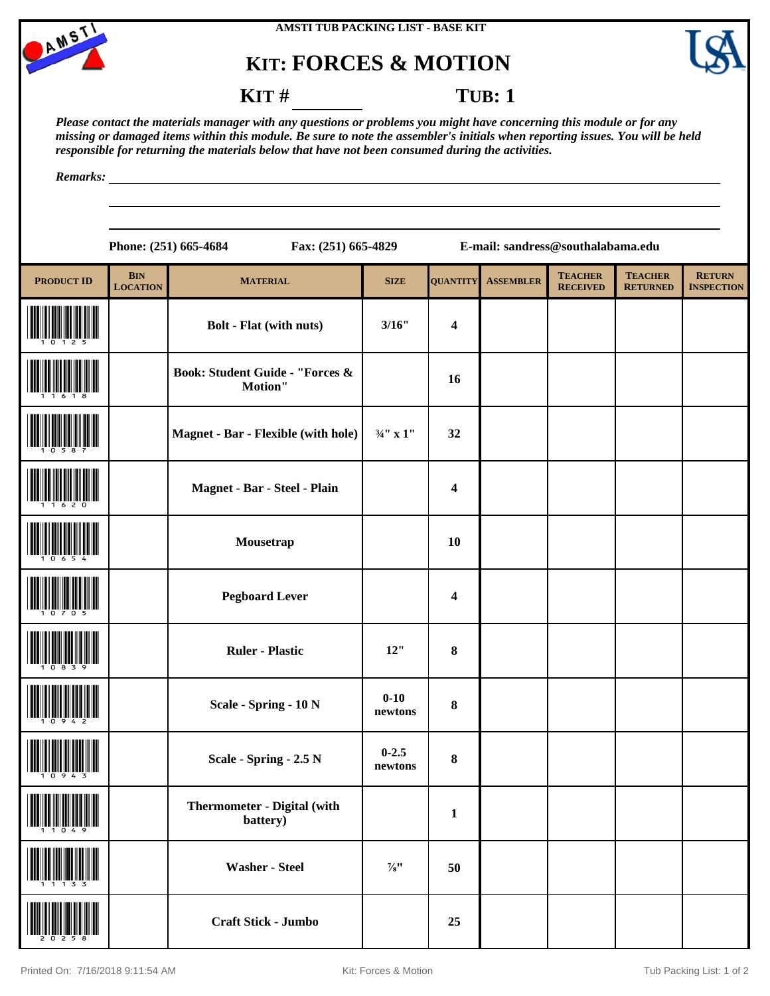

# **KIT: FORCES & MOTION**



## **KIT** # **TUB**: 1

*Please contact the materials manager with any questions or problems you might have concerning this module or for any missing or damaged items within this module. Be sure to note the assembler's initials when reporting issues. You will be held responsible for returning the materials below that have not been consumed during the activities.*

*Remarks:*

|                   | Phone: (251) 665-4684<br>Fax: (251) 665-4829<br>E-mail: sandress@southalabama.edu |                                                       |                      |                 |                  |                                   |                                   |                                    |
|-------------------|-----------------------------------------------------------------------------------|-------------------------------------------------------|----------------------|-----------------|------------------|-----------------------------------|-----------------------------------|------------------------------------|
| <b>PRODUCT ID</b> | <b>BIN</b><br><b>LOCATION</b>                                                     | <b>MATERIAL</b>                                       | <b>SIZE</b>          | <b>QUANTITY</b> | <b>ASSEMBLER</b> | <b>TEACHER</b><br><b>RECEIVED</b> | <b>TEACHER</b><br><b>RETURNED</b> | <b>RETURN</b><br><b>INSPECTION</b> |
|                   |                                                                                   | <b>Bolt - Flat (with nuts)</b>                        | 3/16"                | 4               |                  |                                   |                                   |                                    |
|                   |                                                                                   | <b>Book: Student Guide - "Forces &amp;</b><br>Motion" |                      | 16              |                  |                                   |                                   |                                    |
|                   |                                                                                   | <b>Magnet - Bar - Flexible (with hole)</b>            | $3/4$ " x 1"         | 32              |                  |                                   |                                   |                                    |
|                   |                                                                                   | Magnet - Bar - Steel - Plain                          |                      | 4               |                  |                                   |                                   |                                    |
|                   |                                                                                   | Mousetrap                                             |                      | 10              |                  |                                   |                                   |                                    |
|                   |                                                                                   | <b>Pegboard Lever</b>                                 |                      | 4               |                  |                                   |                                   |                                    |
|                   |                                                                                   | <b>Ruler - Plastic</b>                                | 12"                  | 8               |                  |                                   |                                   |                                    |
|                   |                                                                                   | Scale - Spring - 10 N                                 | $0 - 10$<br>newtons  | 8               |                  |                                   |                                   |                                    |
| 1 U Y 4 S         |                                                                                   | Scale - Spring - 2.5 N                                | $0 - 2.5$<br>newtons | 8               |                  |                                   |                                   |                                    |
|                   |                                                                                   | Thermometer - Digital (with<br>battery)               |                      | $\mathbf{1}$    |                  |                                   |                                   |                                    |
|                   |                                                                                   | <b>Washer - Steel</b>                                 | $\frac{7}{8}$ "      | 50              |                  |                                   |                                   |                                    |
|                   |                                                                                   | Craft Stick - Jumbo                                   |                      | 25              |                  |                                   |                                   |                                    |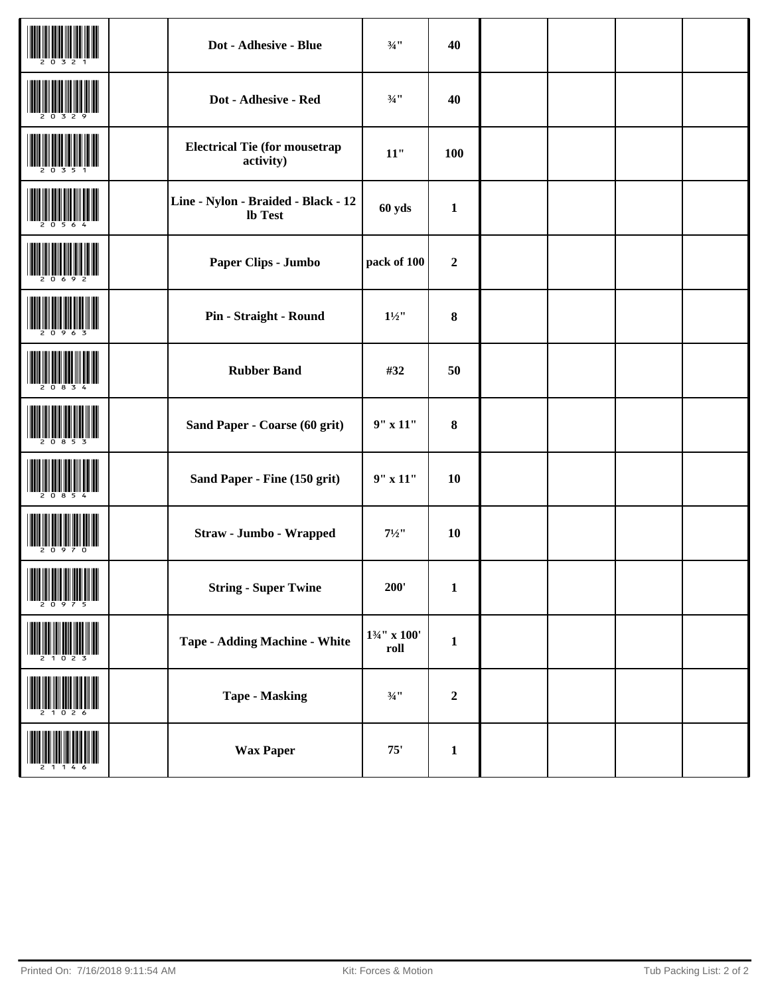|                                                                  | Dot - Adhesive - Blue                                 | $\frac{3}{4}$ !!                | 40           |  |  |
|------------------------------------------------------------------|-------------------------------------------------------|---------------------------------|--------------|--|--|
|                                                                  | Dot - Adhesive - Red                                  | $\frac{3}{4}$ !!                | 40           |  |  |
|                                                                  | <b>Electrical Tie (for mousetrap</b><br>activity)     | $11"$                           | 100          |  |  |
|                                                                  | Line - Nylon - Braided - Black - 12<br><b>lb</b> Test | 60 yds                          | $\mathbf{1}$ |  |  |
|                                                                  | Paper Clips - Jumbo                                   | pack of 100                     | $\mathbf 2$  |  |  |
|                                                                  | Pin - Straight - Round                                | $1\frac{1}{2}$                  | $\bf 8$      |  |  |
|                                                                  | <b>Rubber Band</b>                                    | #32                             | 50           |  |  |
|                                                                  | Sand Paper - Coarse (60 grit)                         | $9"$ x 11"                      | $\pmb{8}$    |  |  |
|                                                                  | Sand Paper - Fine (150 grit)                          | $9"$ x 11"                      | 10           |  |  |
|                                                                  | Straw - Jumbo - Wrapped                               | $7^{1/2}$                       | 10           |  |  |
| <b>THE REAL PROPERTY AND IN</b><br><b>A MARIJI A MARIJI U UM</b> | <b>String - Super Twine</b>                           | 200'                            | $\mathbf 1$  |  |  |
|                                                                  | <b>Tape - Adding Machine - White</b>                  | $1\frac{3}{4}$ " x 100'<br>roll | $\mathbf{1}$ |  |  |
|                                                                  | <b>Tape - Masking</b>                                 | $\frac{3}{4}$ !!                | $\mathbf 2$  |  |  |
|                                                                  | <b>Wax Paper</b>                                      | $75'$                           | $\mathbf{1}$ |  |  |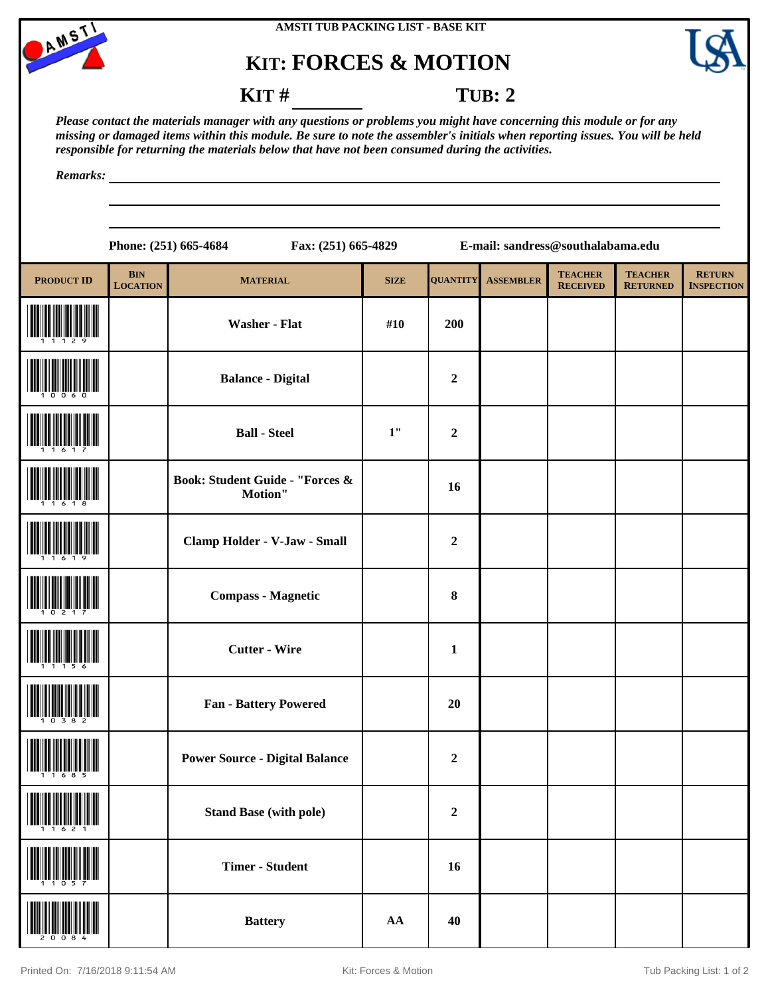

### **AMSTI TUB PACKING LIST - BASE KIT**

## **KIT: FORCES & MOTION**



**KIT** # **TUB: 2** 

*Please contact the materials manager with any questions or problems you might have concerning this module or for any missing or damaged items within this module. Be sure to note the assembler's initials when reporting issues. You will be held responsible for returning the materials below that have not been consumed during the activities.*

*Remarks:*

**Phone: (251) 665-4684 Fax: (251) 665-4829 E-mail: sandress@southalabama.edu**

| <b>PRODUCT ID</b> | <b>BIN</b><br><b>LOCATION</b> | <b>MATERIAL</b>                                       | <b>SIZE</b>      | <b>QUANTITY</b>  | <b>ASSEMBLER</b> | <b>TEACHER</b><br><b>RECEIVED</b> | <b>TEACHER</b><br><b>RETURNED</b> | <b>RETURN</b><br><b>INSPECTION</b> |
|-------------------|-------------------------------|-------------------------------------------------------|------------------|------------------|------------------|-----------------------------------|-----------------------------------|------------------------------------|
|                   |                               | <b>Washer - Flat</b>                                  | #10              | 200              |                  |                                   |                                   |                                    |
|                   |                               | <b>Balance - Digital</b>                              |                  | $\overline{2}$   |                  |                                   |                                   |                                    |
|                   |                               | <b>Ball - Steel</b>                                   | $1"$             | $\boldsymbol{2}$ |                  |                                   |                                   |                                    |
|                   |                               | <b>Book: Student Guide - "Forces &amp;</b><br>Motion" |                  | 16               |                  |                                   |                                   |                                    |
|                   |                               | Clamp Holder - V-Jaw - Small                          |                  | $\boldsymbol{2}$ |                  |                                   |                                   |                                    |
|                   |                               | <b>Compass - Magnetic</b>                             |                  | $\bf 8$          |                  |                                   |                                   |                                    |
|                   |                               | <b>Cutter - Wire</b>                                  |                  | $\mathbf{1}$     |                  |                                   |                                   |                                    |
|                   |                               | <b>Fan - Battery Powered</b>                          |                  | 20               |                  |                                   |                                   |                                    |
|                   |                               | <b>Power Source - Digital Balance</b>                 |                  | $\boldsymbol{2}$ |                  |                                   |                                   |                                    |
|                   |                               | <b>Stand Base (with pole)</b>                         |                  | $\mathbf 2$      |                  |                                   |                                   |                                    |
|                   |                               | <b>Timer - Student</b>                                |                  | 16               |                  |                                   |                                   |                                    |
|                   |                               | <b>Battery</b>                                        | ${\bf A}{\bf A}$ | 40               |                  |                                   |                                   |                                    |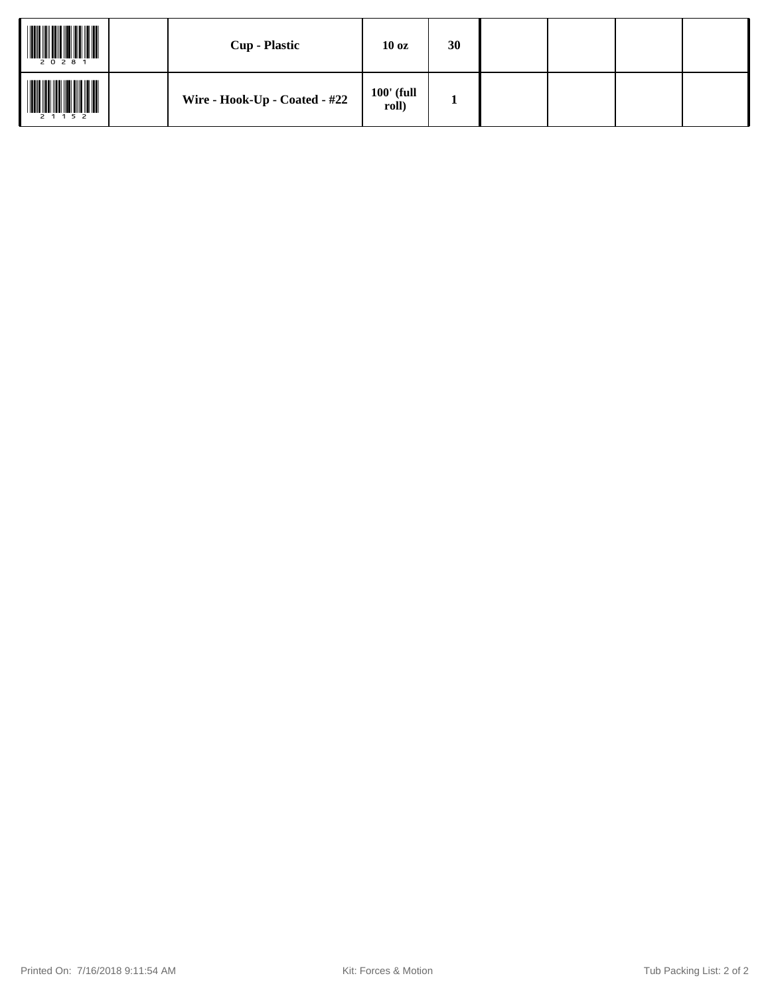| 2 0 2 8 1 | <b>Cup - Plastic</b>          | 10 <sub>oz</sub>      | 30 |  |  |
|-----------|-------------------------------|-----------------------|----|--|--|
| 2 1 1 5 2 | Wire - Hook-Up - Coated - #22 | $100'$ (full<br>roll) |    |  |  |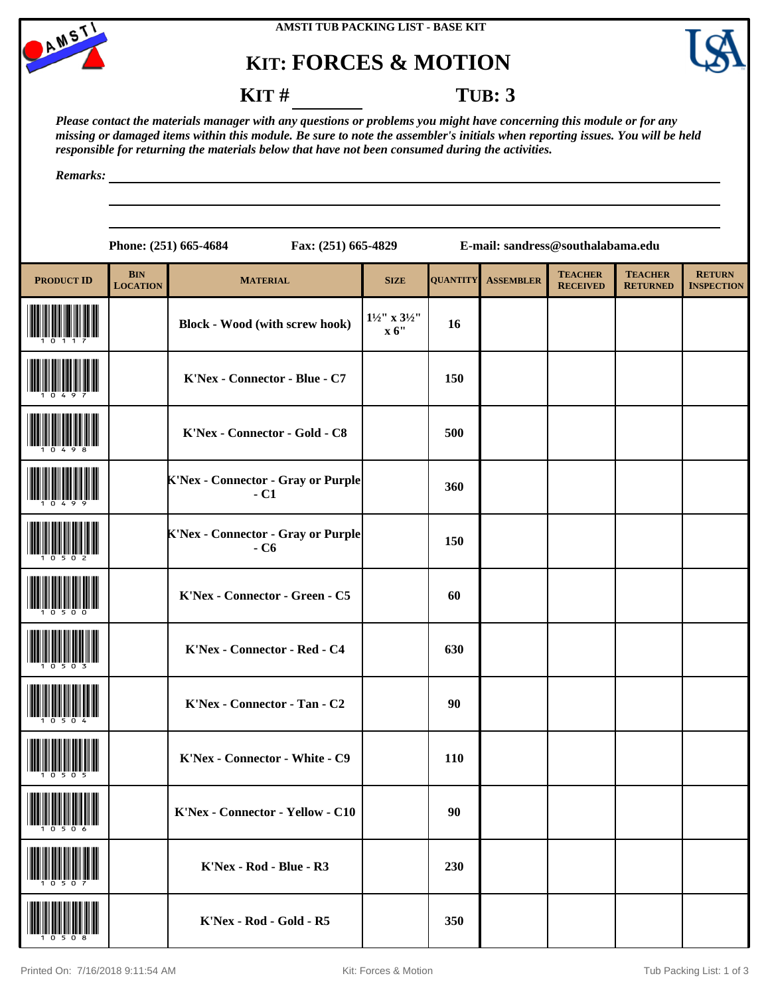

### **AMSTI TUB PACKING LIST - BASE KIT**

# **KIT: FORCES & MOTION**



## **KIT # TUB: 3**

*Please contact the materials manager with any questions or problems you might have concerning this module or for any missing or damaged items within this module. Be sure to note the assembler's initials when reporting issues. You will be held responsible for returning the materials below that have not been consumed during the activities.*

*Remarks:*

|                   |                               | Fax: (251) 665-4829<br>Phone: (251) 665-4684       |                                   |                 | E-mail: sandress@southalabama.edu |                                   |                                   |                                    |
|-------------------|-------------------------------|----------------------------------------------------|-----------------------------------|-----------------|-----------------------------------|-----------------------------------|-----------------------------------|------------------------------------|
| <b>PRODUCT ID</b> | <b>BIN</b><br><b>LOCATION</b> | <b>MATERIAL</b>                                    | <b>SIZE</b>                       | <b>QUANTITY</b> | <b>ASSEMBLER</b>                  | <b>TEACHER</b><br><b>RECEIVED</b> | <b>TEACHER</b><br><b>RETURNED</b> | <b>RETURN</b><br><b>INSPECTION</b> |
|                   |                               | <b>Block - Wood (with screw hook)</b>              | $1^{1/2}$ ' x $3^{1/2}$ '<br>x 6" | 16              |                                   |                                   |                                   |                                    |
|                   |                               | K'Nex - Connector - Blue - C7                      |                                   | 150             |                                   |                                   |                                   |                                    |
|                   |                               | K'Nex - Connector - Gold - C8                      |                                   | 500             |                                   |                                   |                                   |                                    |
|                   |                               | <b>K'Nex - Connector - Gray or Purple</b><br>$-C1$ |                                   | 360             |                                   |                                   |                                   |                                    |
|                   |                               | <b>K'Nex - Connector - Gray or Purple</b><br>$-C6$ |                                   | 150             |                                   |                                   |                                   |                                    |
|                   |                               | K'Nex - Connector - Green - C5                     |                                   | 60              |                                   |                                   |                                   |                                    |
|                   |                               | K'Nex - Connector - Red - C4                       |                                   | 630             |                                   |                                   |                                   |                                    |
|                   |                               | K'Nex - Connector - Tan - C2                       |                                   | 90              |                                   |                                   |                                   |                                    |
| 10505             |                               | K'Nex - Connector - White - C9                     |                                   | 110             |                                   |                                   |                                   |                                    |
|                   |                               | K'Nex - Connector - Yellow - C10                   |                                   | 90              |                                   |                                   |                                   |                                    |
|                   |                               | K'Nex - Rod - Blue - R3                            |                                   | 230             |                                   |                                   |                                   |                                    |
|                   |                               | K'Nex - Rod - Gold - R5                            |                                   | 350             |                                   |                                   |                                   |                                    |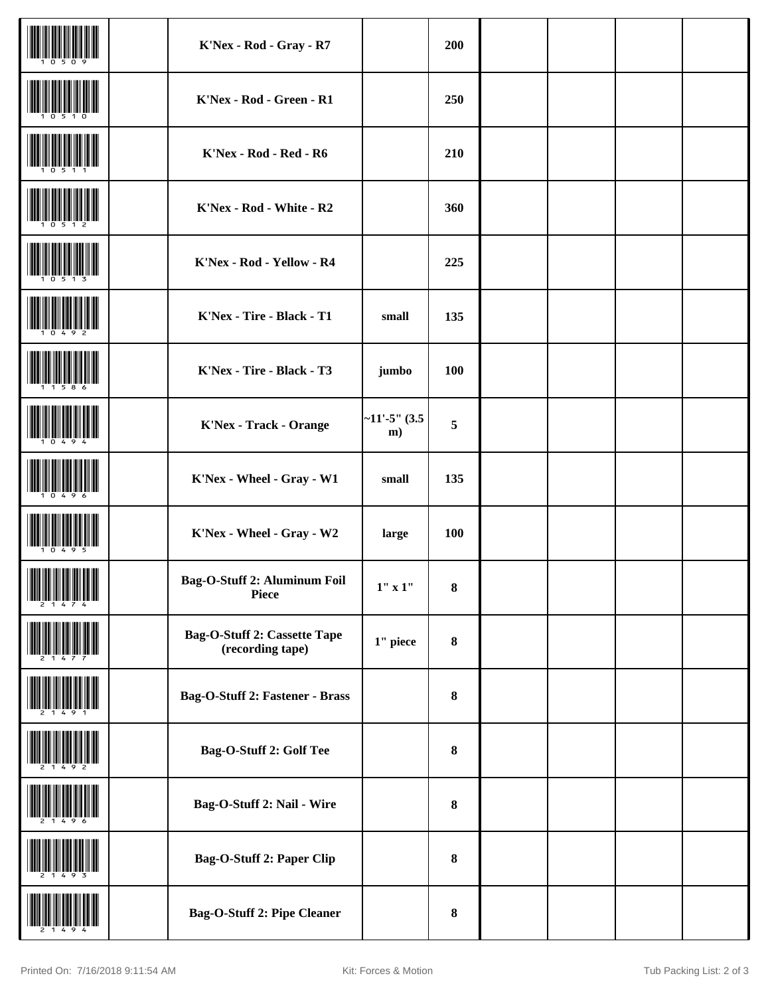|                     | K'Nex - Rod - Gray - R7                                 |                                         | 200        |  |  |
|---------------------|---------------------------------------------------------|-----------------------------------------|------------|--|--|
|                     | K'Nex - Rod - Green - R1                                |                                         | 250        |  |  |
|                     | K'Nex - Rod - Red - R6                                  |                                         | 210        |  |  |
|                     | K'Nex - Rod - White - R2                                |                                         | 360        |  |  |
|                     | K'Nex - Rod - Yellow - R4                               |                                         | 225        |  |  |
|                     | K'Nex - Tire - Black - T1                               | small                                   | 135        |  |  |
|                     | K'Nex - Tire - Black - T3                               | jumbo                                   | <b>100</b> |  |  |
|                     | <b>K'Nex - Track - Orange</b>                           | $-11' - 5''$ (3.5)<br>m)                | 5          |  |  |
|                     | K'Nex - Wheel - Gray - W1                               | small                                   | 135        |  |  |
|                     | K'Nex - Wheel - Gray - W2                               | large                                   | <b>100</b> |  |  |
| <u> Hillingan k</u> | Bag-O-Stuff 2: Aluminum Foil<br><b>Piece</b>            | $1^{\prime\prime}$ x $1^{\prime\prime}$ | $\bf 8$    |  |  |
|                     | <b>Bag-O-Stuff 2: Cassette Tape</b><br>(recording tape) | $1$ " piece                             | ${\bf 8}$  |  |  |
|                     | Bag-O-Stuff 2: Fastener - Brass                         |                                         | $\pmb{8}$  |  |  |
|                     | Bag-O-Stuff 2: Golf Tee                                 |                                         | $\pmb{8}$  |  |  |
|                     | Bag-O-Stuff 2: Nail - Wire                              |                                         | $\pmb{8}$  |  |  |
|                     | <b>Bag-O-Stuff 2: Paper Clip</b>                        |                                         | ${\bf 8}$  |  |  |
|                     | <b>Bag-O-Stuff 2: Pipe Cleaner</b>                      |                                         | ${\bf 8}$  |  |  |